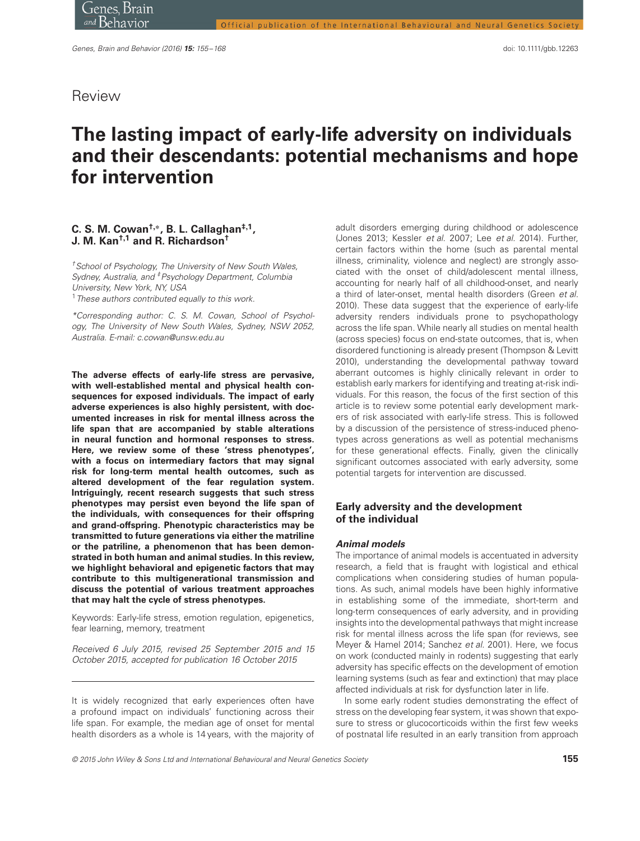## Review

# **The lasting impact of early-life adversity on individuals and their descendants: potential mechanisms and hope for intervention**

## **C. S. M. Cowan†***,***<sup>∗</sup>, B. L. Callaghan‡***,***1, J. M. Kan†***,***<sup>1</sup> and R. Richardson†**

<sup>†</sup>School of Psychology, The University of New South Wales, Svdnev, Australia, and <sup>‡</sup> Psychology Department, Columbia University, New York, NY, USA  $<sup>1</sup>$  These authors contributed equally to this work.</sup>

\*Corresponding author: C. S. M. Cowan, School of Psychology, The University of New South Wales, Sydney, NSW 2052, Australia. E-mail: c.cowan@unsw.edu.au

**The adverse effects of early-life stress are pervasive, with well-established mental and physical health consequences for exposed individuals. The impact of early adverse experiences is also highly persistent, with documented increases in risk for mental illness across the life span that are accompanied by stable alterations in neural function and hormonal responses to stress. Here, we review some of these 'stress phenotypes', with a focus on intermediary factors that may signal risk for long-term mental health outcomes, such as altered development of the fear regulation system. Intriguingly, recent research suggests that such stress phenotypes may persist even beyond the life span of the individuals, with consequences for their offspring and grand-offspring. Phenotypic characteristics may be transmitted to future generations via either the matriline or the patriline, a phenomenon that has been demonstrated in both human and animal studies. In this review, we highlight behavioral and epigenetic factors that may contribute to this multigenerational transmission and discuss the potential of various treatment approaches that may halt the cycle of stress phenotypes.**

Keywords: Early-life stress, emotion regulation, epigenetics, fear learning, memory, treatment

Received 6 July 2015, revised 25 September 2015 and 15 October 2015, accepted for publication 16 October 2015

It is widely recognized that early experiences often have a profound impact on individuals' functioning across their life span. For example, the median age of onset for mental health disorders as a whole is 14 years, with the majority of adult disorders emerging during childhood or adolescence (Jones 2013; Kessler et al. 2007; Lee et al. 2014). Further, certain factors within the home (such as parental mental illness, criminality, violence and neglect) are strongly associated with the onset of child/adolescent mental illness, accounting for nearly half of all childhood-onset, and nearly a third of later-onset, mental health disorders (Green et al. 2010). These data suggest that the experience of early-life adversity renders individuals prone to psychopathology across the life span. While nearly all studies on mental health (across species) focus on end-state outcomes, that is, when disordered functioning is already present (Thompson & Levitt 2010), understanding the developmental pathway toward aberrant outcomes is highly clinically relevant in order to establish early markers for identifying and treating at-risk individuals. For this reason, the focus of the first section of this article is to review some potential early development markers of risk associated with early-life stress. This is followed by a discussion of the persistence of stress-induced phenotypes across generations as well as potential mechanisms for these generational effects. Finally, given the clinically significant outcomes associated with early adversity, some potential targets for intervention are discussed.

## **Early adversity and the development of the individual**

#### *Animal models*

The importance of animal models is accentuated in adversity research, a field that is fraught with logistical and ethical complications when considering studies of human populations. As such, animal models have been highly informative in establishing some of the immediate, short-term and long-term consequences of early adversity, and in providing insights into the developmental pathways that might increase risk for mental illness across the life span (for reviews, see Meyer & Hamel 2014; Sanchez et al. 2001). Here, we focus on work (conducted mainly in rodents) suggesting that early adversity has specific effects on the development of emotion learning systems (such as fear and extinction) that may place affected individuals at risk for dysfunction later in life.

In some early rodent studies demonstrating the effect of stress on the developing fear system, it was shown that exposure to stress or glucocorticoids within the first few weeks of postnatal life resulted in an early transition from approach

<sup>© 2015</sup> John Wiley & Sons Ltd and International Behavioural and Neural Genetics Society **155**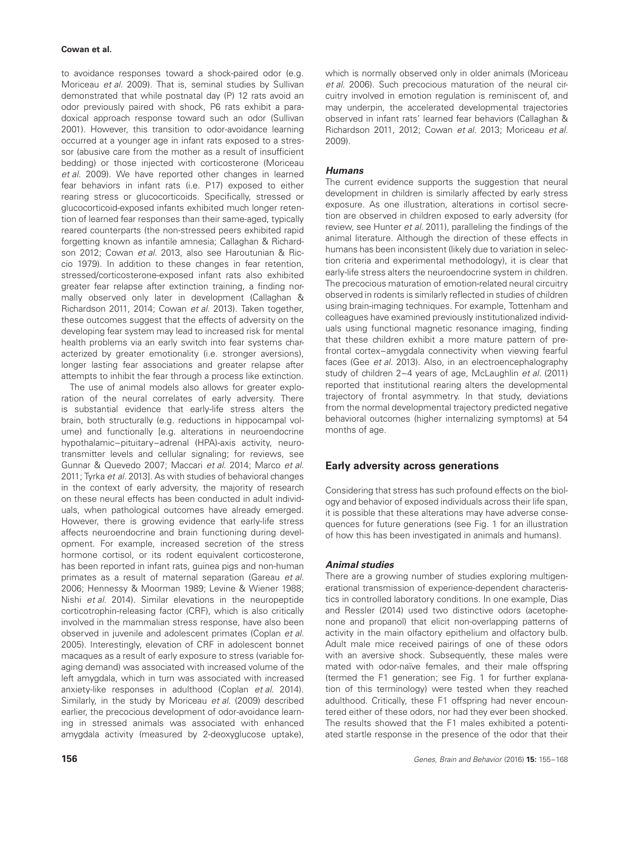to avoidance responses toward a shock-paired odor (e.g. Moriceau et al. 2009). That is, seminal studies by Sullivan demonstrated that while postnatal day (P) 12 rats avoid an odor previously paired with shock, P6 rats exhibit a paradoxical approach response toward such an odor (Sullivan 2001). However, this transition to odor-avoidance learning occurred at a younger age in infant rats exposed to a stressor (abusive care from the mother as a result of insufficient bedding) or those injected with corticosterone (Moriceau et al. 2009). We have reported other changes in learned fear behaviors in infant rats (i.e. P17) exposed to either rearing stress or glucocorticoids. Specifically, stressed or glucocorticoid-exposed infants exhibited much longer retention of learned fear responses than their same-aged, typically reared counterparts (the non-stressed peers exhibited rapid forgetting known as infantile amnesia; Callaghan & Richardson 2012; Cowan et al. 2013, also see Haroutunian & Riccio 1979). In addition to these changes in fear retention, stressed/corticosterone-exposed infant rats also exhibited greater fear relapse after extinction training, a finding normally observed only later in development (Callaghan & Richardson 2011, 2014; Cowan et al. 2013). Taken together, these outcomes suggest that the effects of adversity on the developing fear system may lead to increased risk for mental health problems via an early switch into fear systems characterized by greater emotionality (i.e. stronger aversions), longer lasting fear associations and greater relapse after attempts to inhibit the fear through a process like extinction.

The use of animal models also allows for greater exploration of the neural correlates of early adversity. There is substantial evidence that early-life stress alters the brain, both structurally (e.g. reductions in hippocampal volume) and functionally [e.g. alterations in neuroendocrine hypothalamic–pituitary–adrenal (HPA)-axis activity, neurotransmitter levels and cellular signaling; for reviews, see Gunnar & Quevedo 2007; Maccari et al. 2014; Marco et al. 2011; Tyrka et al. 2013]. As with studies of behavioral changes in the context of early adversity, the majority of research on these neural effects has been conducted in adult individuals, when pathological outcomes have already emerged. However, there is growing evidence that early-life stress affects neuroendocrine and brain functioning during development. For example, increased secretion of the stress hormone cortisol, or its rodent equivalent corticosterone, has been reported in infant rats, guinea pigs and non-human primates as a result of maternal separation (Gareau et al. 2006; Hennessy & Moorman 1989; Levine & Wiener 1988; Nishi et al. 2014). Similar elevations in the neuropeptide corticotrophin-releasing factor (CRF), which is also critically involved in the mammalian stress response, have also been observed in juvenile and adolescent primates (Coplan et al. 2005). Interestingly, elevation of CRF in adolescent bonnet macaques as a result of early exposure to stress (variable foraging demand) was associated with increased volume of the left amygdala, which in turn was associated with increased anxiety-like responses in adulthood (Coplan et al. 2014). Similarly, in the study by Moriceau et al. (2009) described earlier, the precocious development of odor-avoidance learning in stressed animals was associated with enhanced amygdala activity (measured by 2-deoxyglucose uptake),

which is normally observed only in older animals (Moriceau et al. 2006). Such precocious maturation of the neural circuitry involved in emotion regulation is reminiscent of, and may underpin, the accelerated developmental trajectories observed in infant rats' learned fear behaviors (Callaghan & Richardson 2011, 2012; Cowan et al. 2013; Moriceau et al. 2009).

#### *Humans*

The current evidence supports the suggestion that neural development in children is similarly affected by early stress exposure. As one illustration, alterations in cortisol secretion are observed in children exposed to early adversity (for review, see Hunter et al. 2011), paralleling the findings of the animal literature. Although the direction of these effects in humans has been inconsistent (likely due to variation in selection criteria and experimental methodology), it is clear that early-life stress alters the neuroendocrine system in children. The precocious maturation of emotion-related neural circuitry observed in rodents is similarly reflected in studies of children using brain-imaging techniques. For example, Tottenham and colleagues have examined previously institutionalized individuals using functional magnetic resonance imaging, finding that these children exhibit a more mature pattern of prefrontal cortex–amygdala connectivity when viewing fearful faces (Gee et al. 2013). Also, in an electroencephalography study of children 2–4 years of age, McLaughlin et al. (2011) reported that institutional rearing alters the developmental trajectory of frontal asymmetry. In that study, deviations from the normal developmental trajectory predicted negative behavioral outcomes (higher internalizing symptoms) at 54 months of age.

## **Early adversity across generations**

Considering that stress has such profound effects on the biology and behavior of exposed individuals across their life span, it is possible that these alterations may have adverse consequences for future generations (see Fig. 1 for an illustration of how this has been investigated in animals and humans).

#### *Animal studies*

There are a growing number of studies exploring multigenerational transmission of experience-dependent characteristics in controlled laboratory conditions. In one example, Dias and Ressler (2014) used two distinctive odors (acetophenone and propanol) that elicit non-overlapping patterns of activity in the main olfactory epithelium and olfactory bulb. Adult male mice received pairings of one of these odors with an aversive shock. Subsequently, these males were mated with odor-naïve females, and their male offspring (termed the F1 generation; see Fig. 1 for further explanation of this terminology) were tested when they reached adulthood. Critically, these F1 offspring had never encountered either of these odors, nor had they ever been shocked. The results showed that the F1 males exhibited a potentiated startle response in the presence of the odor that their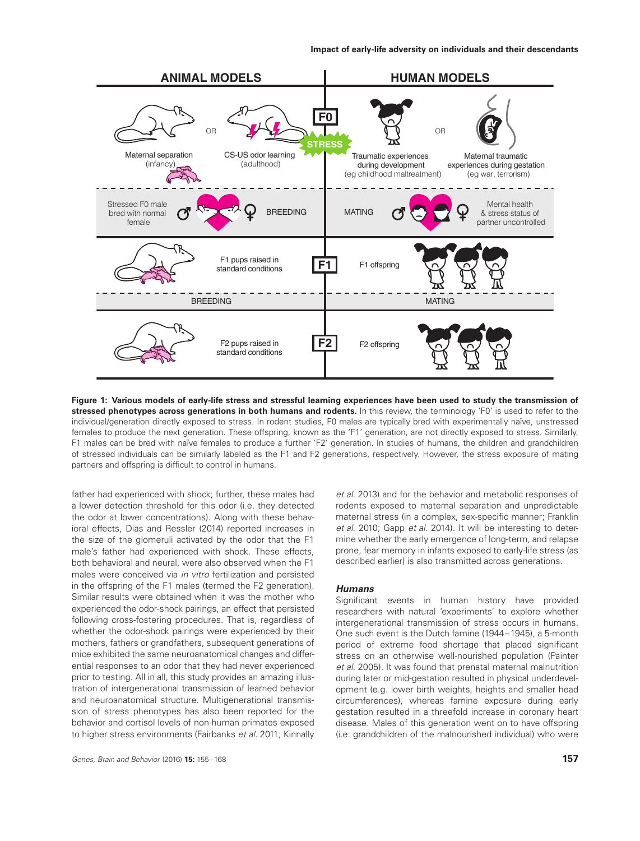

**Figure 1: Various models of early-life stress and stressful learning experiences have been used to study the transmission of stressed phenotypes across generations in both humans and rodents.** In this review, the terminology 'F0' is used to refer to the individual/generation directly exposed to stress. In rodent studies, F0 males are typically bred with experimentally naïve, unstressed females to produce the next generation. These offspring, known as the 'F1' generation, are not directly exposed to stress. Similarly, F1 males can be bred with naïve females to produce a further 'F2' generation. In studies of humans, the children and grandchildren of stressed individuals can be similarly labeled as the F1 and F2 generations, respectively. However, the stress exposure of mating partners and offspring is difficult to control in humans.

father had experienced with shock; further, these males had a lower detection threshold for this odor (i.e. they detected the odor at lower concentrations). Along with these behavioral effects, Dias and Ressler (2014) reported increases in the size of the glomeruli activated by the odor that the F1 male's father had experienced with shock. These effects, both behavioral and neural, were also observed when the F1 males were conceived via in vitro fertilization and persisted in the offspring of the F1 males (termed the F2 generation). Similar results were obtained when it was the mother who experienced the odor-shock pairings, an effect that persisted following cross-fostering procedures. That is, regardless of whether the odor-shock pairings were experienced by their mothers, fathers or grandfathers, subsequent generations of mice exhibited the same neuroanatomical changes and differential responses to an odor that they had never experienced prior to testing. All in all, this study provides an amazing illustration of intergenerational transmission of learned behavior and neuroanatomical structure. Multigenerational transmission of stress phenotypes has also been reported for the behavior and cortisol levels of non-human primates exposed to higher stress environments (Fairbanks et al. 2011; Kinnally

et al. 2013) and for the behavior and metabolic responses of rodents exposed to maternal separation and unpredictable maternal stress (in a complex, sex-specific manner; Franklin et al. 2010; Gapp et al. 2014). It will be interesting to determine whether the early emergence of long-term, and relapse prone, fear memory in infants exposed to early-life stress (as described earlier) is also transmitted across generations.

## *Humans*

Significant events in human history have provided researchers with natural 'experiments' to explore whether intergenerational transmission of stress occurs in humans. One such event is the Dutch famine (1944–1945), a 5-month period of extreme food shortage that placed significant stress on an otherwise well-nourished population (Painter et al. 2005). It was found that prenatal maternal malnutrition during later or mid-gestation resulted in physical underdevelopment (e.g. lower birth weights, heights and smaller head circumferences), whereas famine exposure during early gestation resulted in a threefold increase in coronary heart disease. Males of this generation went on to have offspring (i.e. grandchildren of the malnourished individual) who were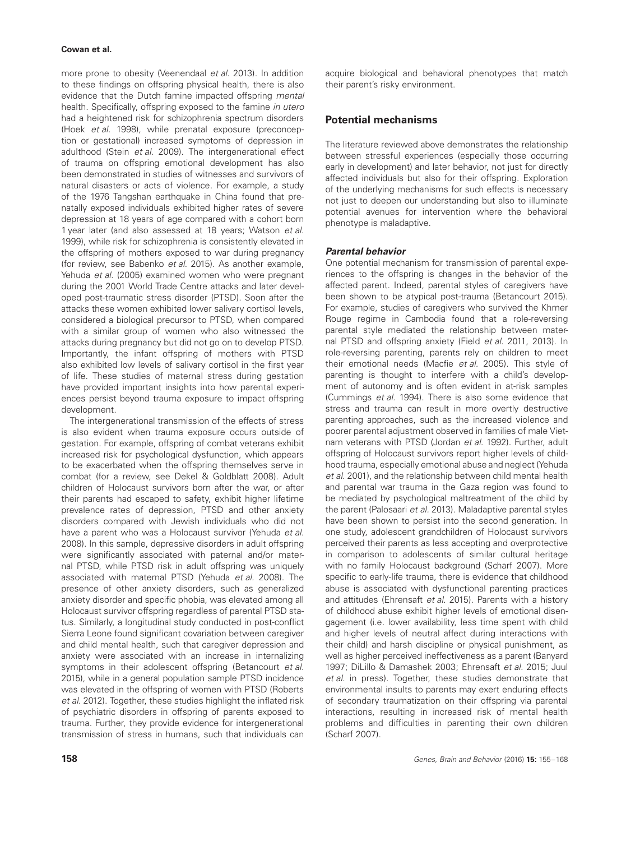more prone to obesity (Veenendaal et al. 2013). In addition to these findings on offspring physical health, there is also evidence that the Dutch famine impacted offspring *mental* health. Specifically, offspring exposed to the famine in utero had a heightened risk for schizophrenia spectrum disorders (Hoek et al. 1998), while prenatal exposure (preconception or gestational) increased symptoms of depression in adulthood (Stein et al. 2009). The intergenerational effect of trauma on offspring emotional development has also been demonstrated in studies of witnesses and survivors of natural disasters or acts of violence. For example, a study of the 1976 Tangshan earthquake in China found that prenatally exposed individuals exhibited higher rates of severe depression at 18 years of age compared with a cohort born 1 year later (and also assessed at 18 years; Watson et al. 1999), while risk for schizophrenia is consistently elevated in the offspring of mothers exposed to war during pregnancy (for review, see Babenko et al. 2015). As another example, Yehuda et al. (2005) examined women who were pregnant during the 2001 World Trade Centre attacks and later developed post-traumatic stress disorder (PTSD). Soon after the attacks these women exhibited lower salivary cortisol levels, considered a biological precursor to PTSD, when compared with a similar group of women who also witnessed the attacks during pregnancy but did not go on to develop PTSD. Importantly, the infant offspring of mothers with PTSD also exhibited low levels of salivary cortisol in the first year of life. These studies of maternal stress during gestation have provided important insights into how parental experiences persist beyond trauma exposure to impact offspring development.

The intergenerational transmission of the effects of stress is also evident when trauma exposure occurs outside of gestation. For example, offspring of combat veterans exhibit increased risk for psychological dysfunction, which appears to be exacerbated when the offspring themselves serve in combat (for a review, see Dekel & Goldblatt 2008). Adult children of Holocaust survivors born after the war, or after their parents had escaped to safety, exhibit higher lifetime prevalence rates of depression, PTSD and other anxiety disorders compared with Jewish individuals who did not have a parent who was a Holocaust survivor (Yehuda et al. 2008). In this sample, depressive disorders in adult offspring were significantly associated with paternal and/or maternal PTSD, while PTSD risk in adult offspring was uniquely associated with maternal PTSD (Yehuda et al. 2008). The presence of other anxiety disorders, such as generalized anxiety disorder and specific phobia, was elevated among all Holocaust survivor offspring regardless of parental PTSD status. Similarly, a longitudinal study conducted in post-conflict Sierra Leone found significant covariation between caregiver and child mental health, such that caregiver depression and anxiety were associated with an increase in internalizing symptoms in their adolescent offspring (Betancourt et al. 2015), while in a general population sample PTSD incidence was elevated in the offspring of women with PTSD (Roberts et al. 2012). Together, these studies highlight the inflated risk of psychiatric disorders in offspring of parents exposed to trauma. Further, they provide evidence for intergenerational transmission of stress in humans, such that individuals can acquire biological and behavioral phenotypes that match their parent's risky environment.

## **Potential mechanisms**

The literature reviewed above demonstrates the relationship between stressful experiences (especially those occurring early in development) and later behavior, not just for directly affected individuals but also for their offspring. Exploration of the underlying mechanisms for such effects is necessary not just to deepen our understanding but also to illuminate potential avenues for intervention where the behavioral phenotype is maladaptive.

## *Parental behavior*

One potential mechanism for transmission of parental experiences to the offspring is changes in the behavior of the affected parent. Indeed, parental styles of caregivers have been shown to be atypical post-trauma (Betancourt 2015). For example, studies of caregivers who survived the Khmer Rouge regime in Cambodia found that a role-reversing parental style mediated the relationship between maternal PTSD and offspring anxiety (Field et al. 2011, 2013). In role-reversing parenting, parents rely on children to meet their emotional needs (Macfie et al. 2005). This style of parenting is thought to interfere with a child's development of autonomy and is often evident in at-risk samples (Cummings et al. 1994). There is also some evidence that stress and trauma can result in more overtly destructive parenting approaches, such as the increased violence and poorer parental adjustment observed in families of male Vietnam veterans with PTSD (Jordan et al. 1992). Further, adult offspring of Holocaust survivors report higher levels of childhood trauma, especially emotional abuse and neglect (Yehuda et al. 2001), and the relationship between child mental health and parental war trauma in the Gaza region was found to be mediated by psychological maltreatment of the child by the parent (Palosaari et al. 2013). Maladaptive parental styles have been shown to persist into the second generation. In one study, adolescent grandchildren of Holocaust survivors perceived their parents as less accepting and overprotective in comparison to adolescents of similar cultural heritage with no family Holocaust background (Scharf 2007). More specific to early-life trauma, there is evidence that childhood abuse is associated with dysfunctional parenting practices and attitudes (Ehrensaft et al. 2015). Parents with a history of childhood abuse exhibit higher levels of emotional disengagement (i.e. lower availability, less time spent with child and higher levels of neutral affect during interactions with their child) and harsh discipline or physical punishment, as well as higher perceived ineffectiveness as a parent (Banyard 1997; DiLillo & Damashek 2003; Ehrensaft et al. 2015; Juul et al. in press). Together, these studies demonstrate that environmental insults to parents may exert enduring effects of secondary traumatization on their offspring via parental interactions, resulting in increased risk of mental health problems and difficulties in parenting their own children (Scharf 2007).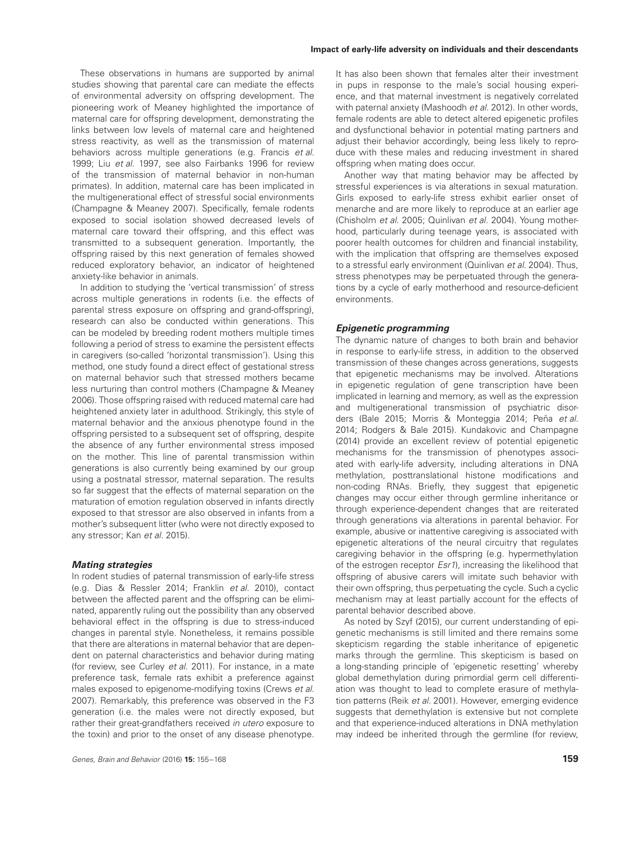These observations in humans are supported by animal studies showing that parental care can mediate the effects of environmental adversity on offspring development. The pioneering work of Meaney highlighted the importance of maternal care for offspring development, demonstrating the links between low levels of maternal care and heightened stress reactivity, as well as the transmission of maternal behaviors across multiple generations (e.g. Francis et al. 1999; Liu et al. 1997, see also Fairbanks 1996 for review of the transmission of maternal behavior in non-human primates). In addition, maternal care has been implicated in the multigenerational effect of stressful social environments (Champagne & Meaney 2007). Specifically, female rodents exposed to social isolation showed decreased levels of maternal care toward their offspring, and this effect was transmitted to a subsequent generation. Importantly, the offspring raised by this next generation of females showed reduced exploratory behavior, an indicator of heightened anxiety-like behavior in animals.

In addition to studying the 'vertical transmission' of stress across multiple generations in rodents (i.e. the effects of parental stress exposure on offspring and grand-offspring), research can also be conducted within generations. This can be modeled by breeding rodent mothers multiple times following a period of stress to examine the persistent effects in caregivers (so-called 'horizontal transmission'). Using this method, one study found a direct effect of gestational stress on maternal behavior such that stressed mothers became less nurturing than control mothers (Champagne & Meaney 2006). Those offspring raised with reduced maternal care had heightened anxiety later in adulthood. Strikingly, this style of maternal behavior and the anxious phenotype found in the offspring persisted to a subsequent set of offspring, despite the absence of any further environmental stress imposed on the mother. This line of parental transmission within generations is also currently being examined by our group using a postnatal stressor, maternal separation. The results so far suggest that the effects of maternal separation on the maturation of emotion regulation observed in infants directly exposed to that stressor are also observed in infants from a mother's subsequent litter (who were not directly exposed to any stressor; Kan et al. 2015).

#### *Mating strategies*

In rodent studies of paternal transmission of early-life stress (e.g. Dias & Ressler 2014; Franklin et al. 2010), contact between the affected parent and the offspring can be eliminated, apparently ruling out the possibility than any observed behavioral effect in the offspring is due to stress-induced changes in parental style. Nonetheless, it remains possible that there are alterations in maternal behavior that are dependent on paternal characteristics and behavior during mating (for review, see Curley et al. 2011). For instance, in a mate preference task, female rats exhibit a preference against males exposed to epigenome-modifying toxins (Crews et al. 2007). Remarkably, this preference was observed in the F3 generation (i.e. the males were not directly exposed, but rather their great-grandfathers received in utero exposure to the toxin) and prior to the onset of any disease phenotype.

It has also been shown that females alter their investment in pups in response to the male's social housing experience, and that maternal investment is negatively correlated with paternal anxiety (Mashoodh et al. 2012). In other words, female rodents are able to detect altered epigenetic profiles and dysfunctional behavior in potential mating partners and adjust their behavior accordingly, being less likely to reproduce with these males and reducing investment in shared offspring when mating does occur.

Another way that mating behavior may be affected by stressful experiences is via alterations in sexual maturation. Girls exposed to early-life stress exhibit earlier onset of menarche and are more likely to reproduce at an earlier age (Chisholm et al. 2005; Quinlivan et al. 2004). Young motherhood, particularly during teenage years, is associated with poorer health outcomes for children and financial instability, with the implication that offspring are themselves exposed to a stressful early environment (Quinlivan et al. 2004). Thus, stress phenotypes may be perpetuated through the generations by a cycle of early motherhood and resource-deficient environments.

#### *Epigenetic programming*

The dynamic nature of changes to both brain and behavior in response to early-life stress, in addition to the observed transmission of these changes across generations, suggests that epigenetic mechanisms may be involved. Alterations in epigenetic regulation of gene transcription have been implicated in learning and memory, as well as the expression and multigenerational transmission of psychiatric disorders (Bale 2015; Morris & Monteggia 2014; Peña et al. 2014; Rodgers & Bale 2015). Kundakovic and Champagne (2014) provide an excellent review of potential epigenetic mechanisms for the transmission of phenotypes associated with early-life adversity, including alterations in DNA methylation, posttranslational histone modifications and non-coding RNAs. Briefly, they suggest that epigenetic changes may occur either through germline inheritance or through experience-dependent changes that are reiterated through generations via alterations in parental behavior. For example, abusive or inattentive caregiving is associated with epigenetic alterations of the neural circuitry that regulates caregiving behavior in the offspring (e.g. hypermethylation of the estrogen receptor *Esr1*), increasing the likelihood that offspring of abusive carers will imitate such behavior with their own offspring, thus perpetuating the cycle. Such a cyclic mechanism may at least partially account for the effects of parental behavior described above.

As noted by Szyf (2015), our current understanding of epigenetic mechanisms is still limited and there remains some skepticism regarding the stable inheritance of epigenetic marks through the germline. This skepticism is based on a long-standing principle of 'epigenetic resetting' whereby global demethylation during primordial germ cell differentiation was thought to lead to complete erasure of methylation patterns (Reik et al. 2001). However, emerging evidence suggests that demethylation is extensive but not complete and that experience-induced alterations in DNA methylation may indeed be inherited through the germline (for review,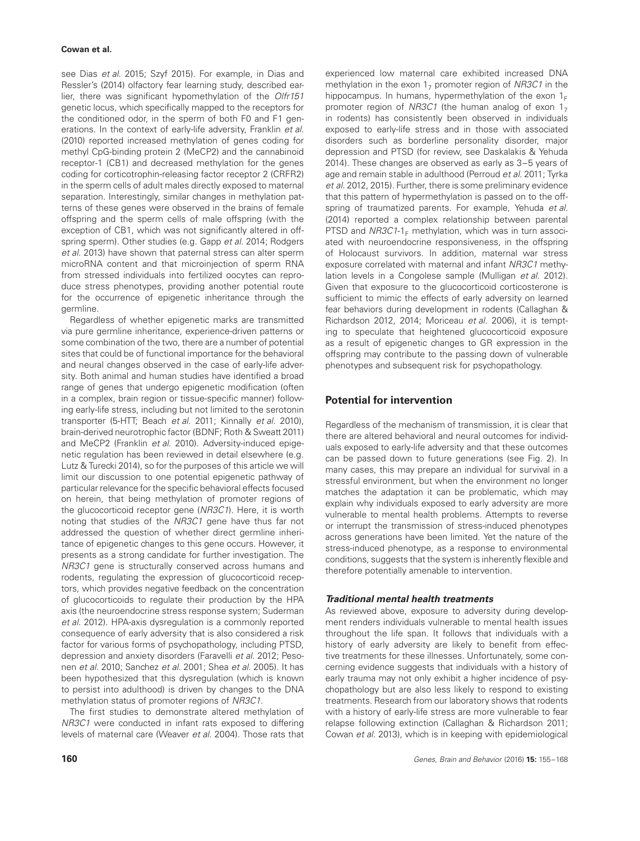see Dias et al. 2015: Szvf 2015). For example, in Dias and Ressler's (2014) olfactory fear learning study, described earlier, there was significant hypomethylation of the Olfr151 genetic locus, which specifically mapped to the receptors for the conditioned odor, in the sperm of both F0 and F1 generations. In the context of early-life adversity, Franklin et al. (2010) reported increased methylation of genes coding for methyl CpG-binding protein 2 (MeCP2) and the cannabinoid receptor-1 (CB1) and decreased methylation for the genes coding for corticotrophin-releasing factor receptor 2 (CRFR2) in the sperm cells of adult males directly exposed to maternal separation. Interestingly, similar changes in methylation patterns of these genes were observed in the brains of female offspring and the sperm cells of male offspring (with the exception of CB1, which was not significantly altered in offspring sperm). Other studies (e.g. Gapp et al. 2014; Rodgers et al. 2013) have shown that paternal stress can alter sperm microRNA content and that microinjection of sperm RNA from stressed individuals into fertilized oocytes can reproduce stress phenotypes, providing another potential route for the occurrence of epigenetic inheritance through the germline.

Regardless of whether epigenetic marks are transmitted via pure germline inheritance, experience-driven patterns or some combination of the two, there are a number of potential sites that could be of functional importance for the behavioral and neural changes observed in the case of early-life adversity. Both animal and human studies have identified a broad range of genes that undergo epigenetic modification (often in a complex, brain region or tissue-specific manner) following early-life stress, including but not limited to the serotonin transporter (5-HTT; Beach et al. 2011; Kinnally et al. 2010), brain-derived neurotrophic factor (BDNF; Roth & Sweatt 2011) and MeCP2 (Franklin et al. 2010). Adversity-induced epigenetic regulation has been reviewed in detail elsewhere (e.g. Lutz & Turecki 2014), so for the purposes of this article we will limit our discussion to one potential epigenetic pathway of particular relevance for the specific behavioral effects focused on herein, that being methylation of promoter regions of the glucocorticoid receptor gene (NR3C1). Here, it is worth noting that studies of the NR3C1 gene have thus far not addressed the question of whether direct germline inheritance of epigenetic changes to this gene occurs. However, it presents as a strong candidate for further investigation. The NR3C1 gene is structurally conserved across humans and rodents, regulating the expression of glucocorticoid receptors, which provides negative feedback on the concentration of glucocorticoids to regulate their production by the HPA axis (the neuroendocrine stress response system; Suderman et al. 2012). HPA-axis dysregulation is a commonly reported consequence of early adversity that is also considered a risk factor for various forms of psychopathology, including PTSD, depression and anxiety disorders (Faravelli et al. 2012; Pesonen et al. 2010; Sanchez et al. 2001; Shea et al. 2005). It has been hypothesized that this dysregulation (which is known to persist into adulthood) is driven by changes to the DNA methylation status of promoter regions of NR3C1.

The first studies to demonstrate altered methylation of NR3C1 were conducted in infant rats exposed to differing levels of maternal care (Weaver et al. 2004). Those rats that experienced low maternal care exhibited increased DNA methylation in the exon  $1<sub>7</sub>$  promoter region of NR3C1 in the hippocampus. In humans, hypermethylation of the exon  $1_F$ promoter region of NR3C1 (the human analog of exon  $1<sub>7</sub>$ in rodents) has consistently been observed in individuals exposed to early-life stress and in those with associated disorders such as borderline personality disorder, major depression and PTSD (for review, see Daskalakis & Yehuda 2014). These changes are observed as early as 3–5 years of age and remain stable in adulthood (Perroud et al. 2011; Tyrka et al. 2012, 2015). Further, there is some preliminary evidence that this pattern of hypermethylation is passed on to the offspring of traumatized parents. For example, Yehuda et al. (2014) reported a complex relationship between parental PTSD and  $NR3C1-1<sub>F</sub>$  methylation, which was in turn associated with neuroendocrine responsiveness, in the offspring of Holocaust survivors. In addition, maternal war stress exposure correlated with maternal and infant NR3C1 methylation levels in a Congolese sample (Mulligan et al. 2012). Given that exposure to the glucocorticoid corticosterone is sufficient to mimic the effects of early adversity on learned fear behaviors during development in rodents (Callaghan & Richardson 2012, 2014; Moriceau et al. 2006), it is tempting to speculate that heightened glucocorticoid exposure as a result of epigenetic changes to GR expression in the offspring may contribute to the passing down of vulnerable phenotypes and subsequent risk for psychopathology.

## **Potential for intervention**

Regardless of the mechanism of transmission, it is clear that there are altered behavioral and neural outcomes for individuals exposed to early-life adversity and that these outcomes can be passed down to future generations (see Fig. 2). In many cases, this may prepare an individual for survival in a stressful environment, but when the environment no longer matches the adaptation it can be problematic, which may explain why individuals exposed to early adversity are more vulnerable to mental health problems. Attempts to reverse or interrupt the transmission of stress-induced phenotypes across generations have been limited. Yet the nature of the stress-induced phenotype, as a response to environmental conditions, suggests that the system is inherently flexible and therefore potentially amenable to intervention.

#### *Traditional mental health treatments*

As reviewed above, exposure to adversity during development renders individuals vulnerable to mental health issues throughout the life span. It follows that individuals with a history of early adversity are likely to benefit from effective treatments for these illnesses. Unfortunately, some concerning evidence suggests that individuals with a history of early trauma may not only exhibit a higher incidence of psychopathology but are also less likely to respond to existing treatments. Research from our laboratory shows that rodents with a history of early-life stress are more vulnerable to fear relapse following extinction (Callaghan & Richardson 2011; Cowan et al. 2013), which is in keeping with epidemiological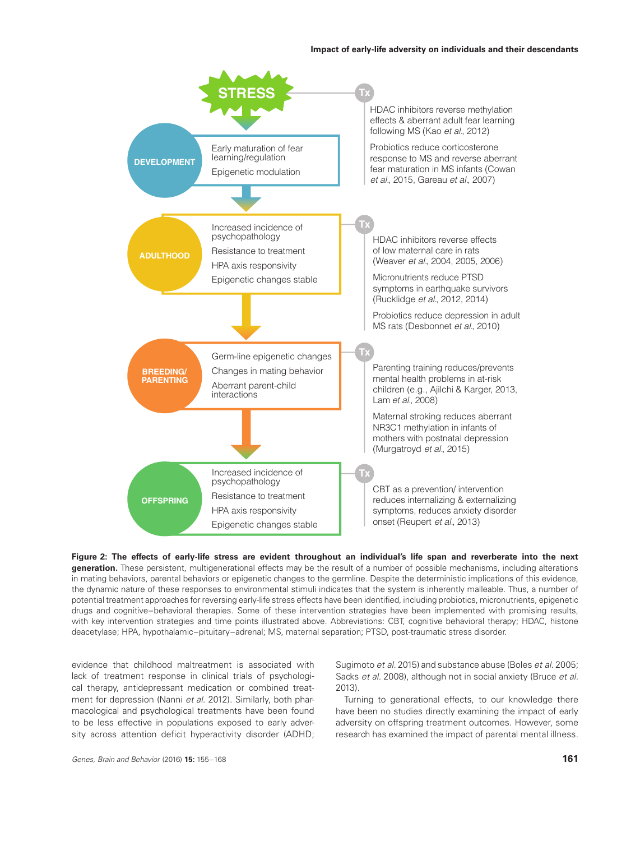

**Figure 2: The effects of early-life stress are evident throughout an individual's life span and reverberate into the next generation.** These persistent, multigenerational effects may be the result of a number of possible mechanisms, including alterations in mating behaviors, parental behaviors or epigenetic changes to the germline. Despite the deterministic implications of this evidence, the dynamic nature of these responses to environmental stimuli indicates that the system is inherently malleable. Thus, a number of potential treatment approaches for reversing early-life stress effects have been identified, including probiotics, micronutrients, epigenetic drugs and cognitive–behavioral therapies. Some of these intervention strategies have been implemented with promising results, with key intervention strategies and time points illustrated above. Abbreviations: CBT, cognitive behavioral therapy; HDAC, histone deacetylase; HPA, hypothalamic–pituitary–adrenal; MS, maternal separation; PTSD, post-traumatic stress disorder.

evidence that childhood maltreatment is associated with lack of treatment response in clinical trials of psychological therapy, antidepressant medication or combined treatment for depression (Nanni et al. 2012). Similarly, both pharmacological and psychological treatments have been found to be less effective in populations exposed to early adversity across attention deficit hyperactivity disorder (ADHD;

Sugimoto et al. 2015) and substance abuse (Boles et al. 2005; Sacks et al. 2008), although not in social anxiety (Bruce et al. 2013).

Turning to generational effects, to our knowledge there have been no studies directly examining the impact of early adversity on offspring treatment outcomes. However, some research has examined the impact of parental mental illness.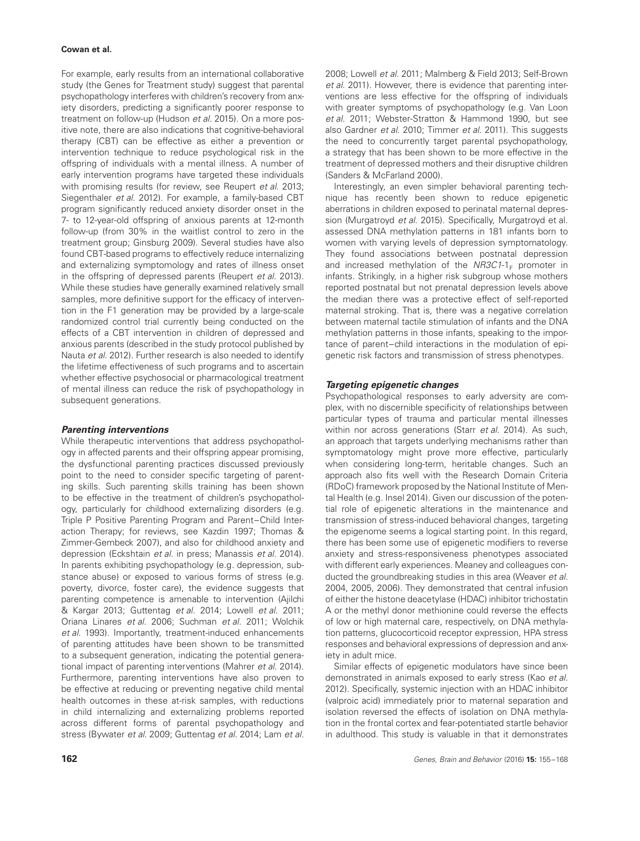#### **Cowan et al.**

For example, early results from an international collaborative study (the Genes for Treatment study) suggest that parental psychopathology interferes with children's recovery from anxiety disorders, predicting a significantly poorer response to treatment on follow-up (Hudson et al. 2015). On a more positive note, there are also indications that cognitive-behavioral therapy (CBT) can be effective as either a prevention or intervention technique to reduce psychological risk in the offspring of individuals with a mental illness. A number of early intervention programs have targeted these individuals with promising results (for review, see Reupert et al. 2013; Siegenthaler et al. 2012). For example, a family-based CBT program significantly reduced anxiety disorder onset in the 7- to 12-year-old offspring of anxious parents at 12-month follow-up (from 30% in the waitlist control to zero in the treatment group; Ginsburg 2009). Several studies have also found CBT-based programs to effectively reduce internalizing and externalizing symptomology and rates of illness onset in the offspring of depressed parents (Reupert *et al.* 2013). While these studies have generally examined relatively small samples, more definitive support for the efficacy of intervention in the F1 generation may be provided by a large-scale randomized control trial currently being conducted on the effects of a CBT intervention in children of depressed and anxious parents (described in the study protocol published by Nauta et al. 2012). Further research is also needed to identify the lifetime effectiveness of such programs and to ascertain whether effective psychosocial or pharmacological treatment of mental illness can reduce the risk of psychopathology in subsequent generations.

## *Parenting interventions*

While therapeutic interventions that address psychopathology in affected parents and their offspring appear promising, the dysfunctional parenting practices discussed previously point to the need to consider specific targeting of parenting skills. Such parenting skills training has been shown to be effective in the treatment of children's psychopathology, particularly for childhood externalizing disorders (e.g. Triple P Positive Parenting Program and Parent–Child Interaction Therapy; for reviews, see Kazdin 1997; Thomas & Zimmer-Gembeck 2007), and also for childhood anxiety and depression (Eckshtain et al. in press; Manassis et al. 2014). In parents exhibiting psychopathology (e.g. depression, substance abuse) or exposed to various forms of stress (e.g. poverty, divorce, foster care), the evidence suggests that parenting competence is amenable to intervention (Ajilchi & Kargar 2013; Guttentag et al. 2014; Lowell et al. 2011; Oriana Linares et al. 2006; Suchman et al. 2011; Wolchik et al. 1993). Importantly, treatment-induced enhancements of parenting attitudes have been shown to be transmitted to a subsequent generation, indicating the potential generational impact of parenting interventions (Mahrer et al. 2014). Furthermore, parenting interventions have also proven to be effective at reducing or preventing negative child mental health outcomes in these at-risk samples, with reductions in child internalizing and externalizing problems reported across different forms of parental psychopathology and stress (Bywater et al. 2009; Guttentag et al. 2014; Lam et al.

2008; Lowell et al. 2011; Malmberg & Field 2013; Self-Brown et al. 2011). However, there is evidence that parenting interventions are less effective for the offspring of individuals with greater symptoms of psychopathology (e.g. Van Loon et al. 2011; Webster-Stratton & Hammond 1990, but see also Gardner et al. 2010; Timmer et al. 2011). This suggests the need to concurrently target parental psychopathology, a strategy that has been shown to be more effective in the treatment of depressed mothers and their disruptive children (Sanders & McFarland 2000).

Interestingly, an even simpler behavioral parenting technique has recently been shown to reduce epigenetic aberrations in children exposed to perinatal maternal depression (Murgatroyd et al. 2015). Specifically, Murgatroyd et al. assessed DNA methylation patterns in 181 infants born to women with varying levels of depression symptomatology. They found associations between postnatal depression and increased methylation of the  $NR3C1-1<sub>F</sub>$  promoter in infants. Strikingly, in a higher risk subgroup whose mothers reported postnatal but not prenatal depression levels above the median there was a protective effect of self-reported maternal stroking. That is, there was a negative correlation between maternal tactile stimulation of infants and the DNA methylation patterns in those infants, speaking to the importance of parent–child interactions in the modulation of epigenetic risk factors and transmission of stress phenotypes.

## *Targeting epigenetic changes*

Psychopathological responses to early adversity are complex, with no discernible specificity of relationships between particular types of trauma and particular mental illnesses within nor across generations (Starr et al. 2014). As such, an approach that targets underlying mechanisms rather than symptomatology might prove more effective, particularly when considering long-term, heritable changes. Such an approach also fits well with the Research Domain Criteria (RDoC) framework proposed by the National Institute of Mental Health (e.g. Insel 2014). Given our discussion of the potential role of epigenetic alterations in the maintenance and transmission of stress-induced behavioral changes, targeting the epigenome seems a logical starting point. In this regard, there has been some use of epigenetic modifiers to reverse anxiety and stress-responsiveness phenotypes associated with different early experiences. Meaney and colleagues conducted the groundbreaking studies in this area (Weaver et al. 2004, 2005, 2006). They demonstrated that central infusion of either the histone deacetylase (HDAC) inhibitor trichostatin A or the methyl donor methionine could reverse the effects of low or high maternal care, respectively, on DNA methylation patterns, glucocorticoid receptor expression, HPA stress responses and behavioral expressions of depression and anxiety in adult mice.

Similar effects of epigenetic modulators have since been demonstrated in animals exposed to early stress (Kao et al. 2012). Specifically, systemic injection with an HDAC inhibitor (valproic acid) immediately prior to maternal separation and isolation reversed the effects of isolation on DNA methylation in the frontal cortex and fear-potentiated startle behavior in adulthood. This study is valuable in that it demonstrates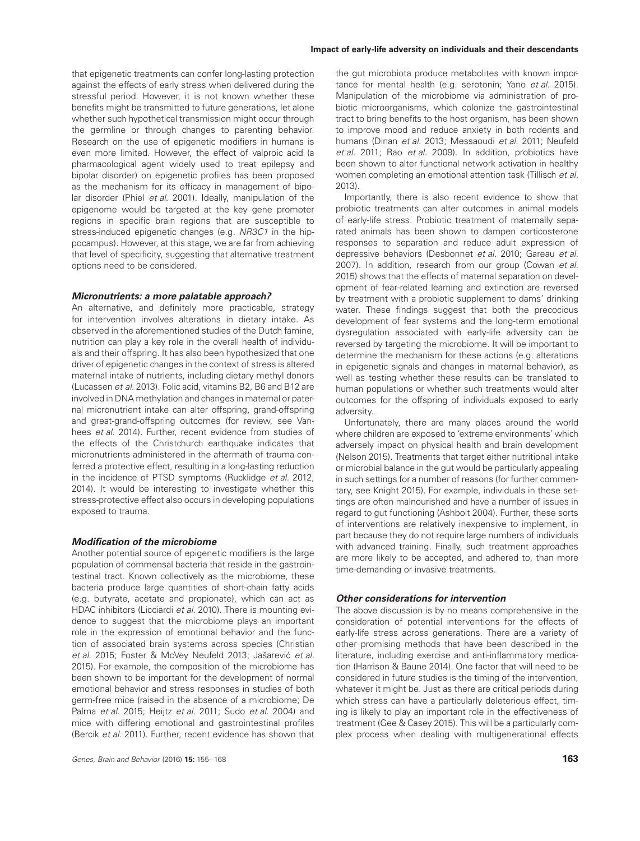that epigenetic treatments can confer long-lasting protection against the effects of early stress when delivered during the stressful period. However, it is not known whether these benefits might be transmitted to future generations, let alone whether such hypothetical transmission might occur through the germline or through changes to parenting behavior. Research on the use of epigenetic modifiers in humans is even more limited. However, the effect of valproic acid (a pharmacological agent widely used to treat epilepsy and bipolar disorder) on epigenetic profiles has been proposed as the mechanism for its efficacy in management of bipolar disorder (Phiel et al. 2001). Ideally, manipulation of the epigenome would be targeted at the key gene promoter regions in specific brain regions that are susceptible to stress-induced epigenetic changes (e.g. NR3C1 in the hippocampus). However, at this stage, we are far from achieving that level of specificity, suggesting that alternative treatment options need to be considered.

#### *Micronutrients: a more palatable approach?*

An alternative, and definitely more practicable, strategy for intervention involves alterations in dietary intake. As observed in the aforementioned studies of the Dutch famine, nutrition can play a key role in the overall health of individuals and their offspring. It has also been hypothesized that one driver of epigenetic changes in the context of stress is altered maternal intake of nutrients, including dietary methyl donors (Lucassen et al. 2013). Folic acid, vitamins B2, B6 and B12 are involved in DNA methylation and changes in maternal or paternal micronutrient intake can alter offspring, grand-offspring and great-grand-offspring outcomes (for review, see Vanhees et al. 2014). Further, recent evidence from studies of the effects of the Christchurch earthquake indicates that micronutrients administered in the aftermath of trauma conferred a protective effect, resulting in a long-lasting reduction in the incidence of PTSD symptoms (Rucklidge et al. 2012, 2014). It would be interesting to investigate whether this stress-protective effect also occurs in developing populations exposed to trauma.

## *Modification of the microbiome*

Another potential source of epigenetic modifiers is the large population of commensal bacteria that reside in the gastrointestinal tract. Known collectively as the microbiome, these bacteria produce large quantities of short-chain fatty acids (e.g. butyrate, acetate and propionate), which can act as HDAC inhibitors (Licciardi *et al.* 2010). There is mounting evidence to suggest that the microbiome plays an important role in the expression of emotional behavior and the function of associated brain systems across species (Christian et al. 2015; Foster & McVey Neufeld 2013; Jašarević et al. 2015). For example, the composition of the microbiome has been shown to be important for the development of normal emotional behavior and stress responses in studies of both germ-free mice (raised in the absence of a microbiome; De Palma et al. 2015; Heijtz et al. 2011; Sudo et al. 2004) and mice with differing emotional and gastrointestinal profiles (Bercik et al. 2011). Further, recent evidence has shown that

the gut microbiota produce metabolites with known importance for mental health (e.g. serotonin; Yano et al. 2015). Manipulation of the microbiome via administration of probiotic microorganisms, which colonize the gastrointestinal tract to bring benefits to the host organism, has been shown to improve mood and reduce anxiety in both rodents and humans (Dinan et al. 2013; Messaoudi et al. 2011; Neufeld et al. 2011; Rao et al. 2009). In addition, probiotics have been shown to alter functional network activation in healthy women completing an emotional attention task (Tillisch et al. 2013).

Importantly, there is also recent evidence to show that probiotic treatments can alter outcomes in animal models of early-life stress. Probiotic treatment of maternally separated animals has been shown to dampen corticosterone responses to separation and reduce adult expression of depressive behaviors (Desbonnet et al. 2010; Gareau et al. 2007). In addition, research from our group (Cowan et al. 2015) shows that the effects of maternal separation on development of fear-related learning and extinction are reversed by treatment with a probiotic supplement to dams' drinking water. These findings suggest that both the precocious development of fear systems and the long-term emotional dysregulation associated with early-life adversity can be reversed by targeting the microbiome. It will be important to determine the mechanism for these actions (e.g. alterations in epigenetic signals and changes in maternal behavior), as well as testing whether these results can be translated to human populations or whether such treatments would alter outcomes for the offspring of individuals exposed to early adversity.

Unfortunately, there are many places around the world where children are exposed to 'extreme environments' which adversely impact on physical health and brain development (Nelson 2015). Treatments that target either nutritional intake or microbial balance in the gut would be particularly appealing in such settings for a number of reasons (for further commentary, see Knight 2015). For example, individuals in these settings are often malnourished and have a number of issues in regard to gut functioning (Ashbolt 2004). Further, these sorts of interventions are relatively inexpensive to implement, in part because they do not require large numbers of individuals with advanced training. Finally, such treatment approaches are more likely to be accepted, and adhered to, than more time-demanding or invasive treatments.

#### *Other considerations for intervention*

The above discussion is by no means comprehensive in the consideration of potential interventions for the effects of early-life stress across generations. There are a variety of other promising methods that have been described in the literature, including exercise and anti-inflammatory medication (Harrison & Baune 2014). One factor that will need to be considered in future studies is the timing of the intervention, whatever it might be. Just as there are critical periods during which stress can have a particularly deleterious effect, timing is likely to play an important role in the effectiveness of treatment (Gee & Casey 2015). This will be a particularly complex process when dealing with multigenerational effects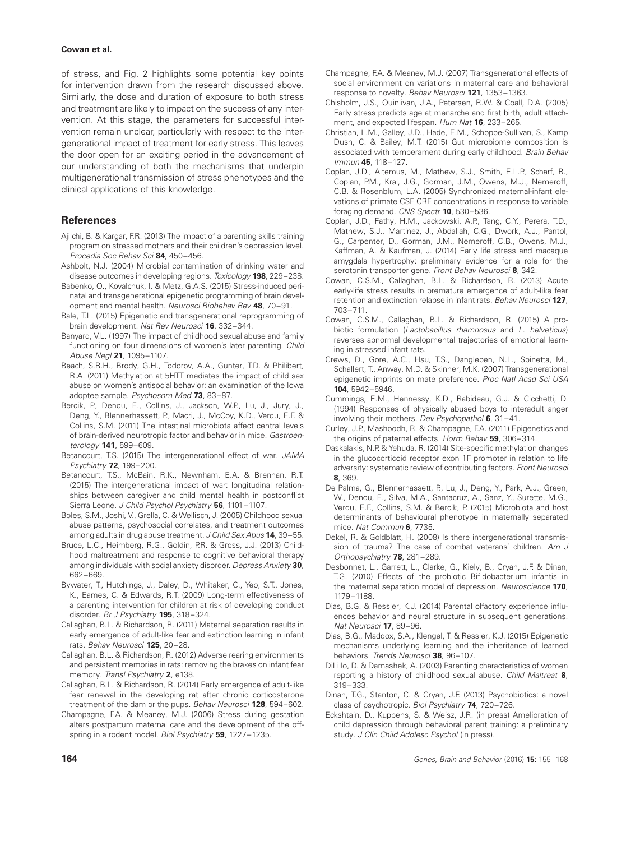#### **Cowan et al.**

of stress, and Fig. 2 highlights some potential key points for intervention drawn from the research discussed above. Similarly, the dose and duration of exposure to both stress and treatment are likely to impact on the success of any intervention. At this stage, the parameters for successful intervention remain unclear, particularly with respect to the intergenerational impact of treatment for early stress. This leaves the door open for an exciting period in the advancement of our understanding of both the mechanisms that underpin multigenerational transmission of stress phenotypes and the clinical applications of this knowledge.

## **References**

- Ajilchi, B. & Kargar, F.R. (2013) The impact of a parenting skills training program on stressed mothers and their children's depression level. Procedia Soc Behav Sci **84**, 450–456.
- Ashbolt, N.J. (2004) Microbial contamination of drinking water and disease outcomes in developing regions. Toxicology **198**, 229–238.
- Babenko, O., Kovalchuk, I. & Metz, G.A.S. (2015) Stress-induced perinatal and transgenerational epigenetic programming of brain development and mental health. Neurosci Biobehav Rev **48**, 70–91.
- Bale, T.L. (2015) Epigenetic and transgenerational reprogramming of brain development. Nat Rev Neurosci **16**, 332–344.
- Banyard, V.L. (1997) The impact of childhood sexual abuse and family functioning on four dimensions of women's later parenting. Child Abuse Negl **21**, 1095–1107.
- Beach, S.R.H., Brody, G.H., Todorov, A.A., Gunter, T.D. & Philibert, R.A. (2011) Methylation at 5HTT mediates the impact of child sex abuse on women's antisocial behavior: an examination of the Iowa adoptee sample. Psychosom Med **73**, 83–87.
- Bercik, P., Denou, E., Collins, J., Jackson, W.P., Lu, J., Jury, J., Deng, Y., Blennerhassett, P., Macri, J., McCoy, K.D., Verdu, E.F. & Collins, S.M. (2011) The intestinal microbiota affect central levels of brain-derived neurotropic factor and behavior in mice. Gastroenterology **141**, 599–609.
- Betancourt, T.S. (2015) The intergenerational effect of war. JAMA Psychiatry **72**, 199–200.
- Betancourt, T.S., McBain, R.K., Newnham, E.A. & Brennan, R.T. (2015) The intergenerational impact of war: longitudinal relationships between caregiver and child mental health in postconflict Sierra Leone. J Child Psychol Psychiatry **56**, 1101–1107.
- Boles, S.M., Joshi, V., Grella, C. & Wellisch, J. (2005) Childhood sexual abuse patterns, psychosocial correlates, and treatment outcomes among adults in drug abuse treatment. J Child Sex Abus **14**, 39–55.
- Bruce, L.C., Heimberg, R.G., Goldin, P.R. & Gross, J.J. (2013) Childhood maltreatment and response to cognitive behavioral therapy among individuals with social anxiety disorder. Depress Anxiety **30**, 662–669.
- Bywater, T., Hutchings, J., Daley, D., Whitaker, C., Yeo, S.T., Jones, K., Eames, C. & Edwards, R.T. (2009) Long-term effectiveness of a parenting intervention for children at risk of developing conduct disorder. Br J Psychiatry **195**, 318–324.
- Callaghan, B.L. & Richardson, R. (2011) Maternal separation results in early emergence of adult-like fear and extinction learning in infant rats. Behav Neurosci **125**, 20–28.
- Callaghan, B.L. & Richardson, R. (2012) Adverse rearing environments and persistent memories in rats: removing the brakes on infant fear memory. Transl Psychiatry **2**, e138.
- Callaghan, B.L. & Richardson, R. (2014) Early emergence of adult-like fear renewal in the developing rat after chronic corticosterone treatment of the dam or the pups. Behav Neurosci **128**, 594–602.
- Champagne, F.A. & Meaney, M.J. (2006) Stress during gestation alters postpartum maternal care and the development of the offspring in a rodent model. Biol Psychiatry **59**, 1227–1235.
- Champagne, F.A. & Meaney, M.J. (2007) Transgenerational effects of social environment on variations in maternal care and behavioral response to novelty. Behav Neurosci **121**, 1353–1363.
- Chisholm, J.S., Quinlivan, J.A., Petersen, R.W. & Coall, D.A. (2005) Early stress predicts age at menarche and first birth, adult attachment, and expected lifespan. Hum Nat **16**, 233–265.
- Christian, L.M., Galley, J.D., Hade, E.M., Schoppe-Sullivan, S., Kamp Dush, C. & Bailey, M.T. (2015) Gut microbiome composition is associated with temperament during early childhood. Brain Behav Immun **45**, 118–127.
- Coplan, J.D., Altemus, M., Mathew, S.J., Smith, E.L.P., Scharf, B., Coplan, P.M., Kral, J.G., Gorman, J.M., Owens, M.J., Nemeroff, C.B. & Rosenblum, L.A. (2005) Synchronized maternal-infant elevations of primate CSF CRF concentrations in response to variable foraging demand. CNS Spectr **10**, 530–536.
- Coplan, J.D., Fathy, H.M., Jackowski, A.P., Tang, C.Y., Perera, T.D., Mathew, S.J., Martinez, J., Abdallah, C.G., Dwork, A.J., Pantol, G., Carpenter, D., Gorman, J.M., Nemeroff, C.B., Owens, M.J., Kaffman, A. & Kaufman, J. (2014) Early life stress and macaque amygdala hypertrophy: preliminary evidence for a role for the serotonin transporter gene. Front Behav Neurosci **8**, 342.
- Cowan, C.S.M., Callaghan, B.L. & Richardson, R. (2013) Acute early-life stress results in premature emergence of adult-like fear retention and extinction relapse in infant rats. Behav Neurosci **127**, 703–711.
- Cowan, C.S.M., Callaghan, B.L. & Richardson, R. (2015) A probiotic formulation (Lactobacillus rhamnosus and L. helveticus) reverses abnormal developmental trajectories of emotional learning in stressed infant rats.
- Crews, D., Gore, A.C., Hsu, T.S., Dangleben, N.L., Spinetta, M., Schallert, T., Anway, M.D. & Skinner, M.K. (2007) Transgenerational epigenetic imprints on mate preference. Proc Natl Acad Sci USA **104**, 5942–5946.
- Cummings, E.M., Hennessy, K.D., Rabideau, G.J. & Cicchetti, D. (1994) Responses of physically abused boys to interadult anger involving their mothers. Dev Psychopathol **6**, 31–41.
- Curley, J.P., Mashoodh, R. & Champagne, F.A. (2011) Epigenetics and the origins of paternal effects. Horm Behav **59**, 306–314.
- Daskalakis, N.P. & Yehuda, R. (2014) Site-specific methylation changes in the glucocorticoid receptor exon 1F promoter in relation to life adversity: systematic review of contributing factors. Front Neurosci **8**, 369.
- De Palma, G., Blennerhassett, P., Lu, J., Deng, Y., Park, A.J., Green, W., Denou, E., Silva, M.A., Santacruz, A., Sanz, Y., Surette, M.G., Verdu, E.F., Collins, S.M. & Bercik, P. (2015) Microbiota and host determinants of behavioural phenotype in maternally separated mice. Nat Commun **6**, 7735.
- Dekel, R. & Goldblatt, H. (2008) Is there intergenerational transmission of trauma? The case of combat veterans' children. Am J Orthopsychiatry **78**, 281–289.
- Desbonnet, L., Garrett, L., Clarke, G., Kiely, B., Cryan, J.F. & Dinan, T.G. (2010) Effects of the probiotic Bifidobacterium infantis in the maternal separation model of depression. Neuroscience **170**, 1179–1188.
- Dias, B.G. & Ressler, K.J. (2014) Parental olfactory experience influences behavior and neural structure in subsequent generations. Nat Neurosci **17**, 89–96.
- Dias, B.G., Maddox, S.A., Klengel, T. & Ressler, K.J. (2015) Epigenetic mechanisms underlying learning and the inheritance of learned behaviors. Trends Neurosci **38**, 96–107.
- DiLillo, D. & Damashek, A. (2003) Parenting characteristics of women reporting a history of childhood sexual abuse. Child Maltreat **8**, 319–333.
- Dinan, T.G., Stanton, C. & Cryan, J.F. (2013) Psychobiotics: a novel class of psychotropic. Biol Psychiatry **74**, 720–726.
- Eckshtain, D., Kuppens, S. & Weisz, J.R. (in press) Amelioration of child depression through behavioral parent training: a preliminary study. J Clin Child Adolesc Psychol (in press).

**164** Genes, Brain and Behavior (2016) **15:** 155–168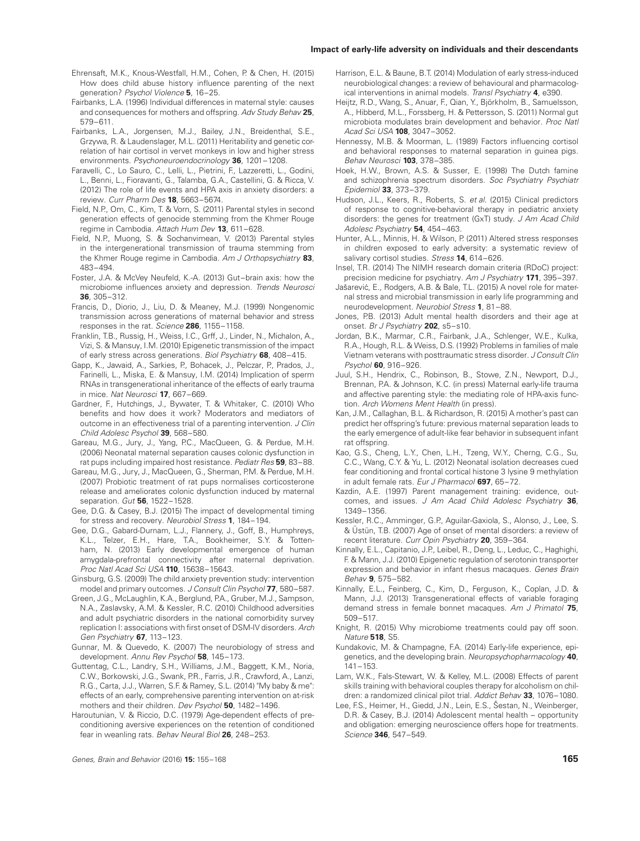- Ehrensaft, M.K., Knous-Westfall, H.M., Cohen, P. & Chen, H. (2015) How does child abuse history influence parenting of the next generation? Psychol Violence **5**, 16–25.
- Fairbanks, L.A. (1996) Individual differences in maternal style: causes and consequences for mothers and offspring. Adv Study Behav **25**, 579–611.
- Fairbanks, L.A., Jorgensen, M.J., Bailey, J.N., Breidenthal, S.E., Grzywa, R. & Laudenslager, M.L. (2011) Heritability and genetic correlation of hair cortisol in vervet monkeys in low and higher stress environments. Psychoneuroendocrinology **36**, 1201–1208.
- Faravelli, C., Lo Sauro, C., Lelli, L., Pietrini, F., Lazzeretti, L., Godini, L., Benni, L., Fioravanti, G., Talamba, G.A., Castellini, G. & Ricca, V. (2012) The role of life events and HPA axis in anxiety disorders: a review. Curr Pharm Des **18**, 5663–5674.
- Field, N.P., Om, C., Kim, T. & Vorn, S. (2011) Parental styles in second generation effects of genocide stemming from the Khmer Rouge regime in Cambodia. Attach Hum Dev **13**, 611–628.
- Field, N.P., Muong, S. & Sochanvimean, V. (2013) Parental styles in the intergenerational transmission of trauma stemming from the Khmer Rouge regime in Cambodia. Am J Orthopsychiatry **83**, 483–494.
- Foster, J.A. & McVey Neufeld, K.-A. (2013) Gut–brain axis: how the microbiome influences anxiety and depression. Trends Neurosci **36**, 305–312.
- Francis, D., Diorio, J., Liu, D. & Meaney, M.J. (1999) Nongenomic transmission across generations of maternal behavior and stress responses in the rat. Science **286**, 1155–1158.
- Franklin, T.B., Russig, H., Weiss, I.C., Grff, J., Linder, N., Michalon, A., Vizi, S. & Mansuy, I.M. (2010) Epigenetic transmission of the impact of early stress across generations. Biol Psychiatry **68**, 408–415.
- Gapp, K., Jawaid, A., Sarkies, P., Bohacek, J., Pelczar, P., Prados, J., Farinelli, L., Miska, E. & Mansuy, I.M. (2014) Implication of sperm RNAs in transgenerational inheritance of the effects of early trauma in mice. Nat Neurosci **17**, 667–669.
- Gardner, F., Hutchings, J., Bywater, T. & Whitaker, C. (2010) Who benefits and how does it work? Moderators and mediators of outcome in an effectiveness trial of a parenting intervention. J Clin Child Adolesc Psychol **39**, 568–580.
- Gareau, M.G., Jury, J., Yang, P.C., MacQueen, G. & Perdue, M.H. (2006) Neonatal maternal separation causes colonic dysfunction in rat pups including impaired host resistance. Pediatr Res **59**, 83–88.
- Gareau, M.G., Jury, J., MacQueen, G., Sherman, P.M. & Perdue, M.H. (2007) Probiotic treatment of rat pups normalises corticosterone release and ameliorates colonic dysfunction induced by maternal separation. Gut **56**, 1522–1528.
- Gee, D.G. & Casey, B.J. (2015) The impact of developmental timing for stress and recovery. Neurobiol Stress **1**, 184–194.
- Gee, D.G., Gabard-Durnam, L.J., Flannery, J., Goff, B., Humphreys, K.L., Telzer, E.H., Hare, T.A., Bookheimer, S.Y. & Tottenham, N. (2013) Early developmental emergence of human amygdala-prefrontal connectivity after maternal deprivation. Proc Natl Acad Sci USA **110**, 15638–15643.
- Ginsburg, G.S. (2009) The child anxiety prevention study: intervention model and primary outcomes. J Consult Clin Psychol **77**, 580–587.
- Green, J.G., McLaughlin, K.A., Berglund, P.A., Gruber, M.J., Sampson, N.A., Zaslavsky, A.M. & Kessler, R.C. (2010) Childhood adversities and adult psychiatric disorders in the national comorbidity survey replication I: associations with first onset of DSM-IV disorders. Arch Gen Psychiatry **67**, 113–123.
- Gunnar, M. & Quevedo, K. (2007) The neurobiology of stress and development. Annu Rev Psychol **58**, 145–173.
- Guttentag, C.L., Landry, S.H., Williams, J.M., Baggett, K.M., Noria, C.W., Borkowski, J.G., Swank, P.R., Farris, J.R., Crawford, A., Lanzi, R.G., Carta, J.J., Warren, S.F. & Ramey, S.L. (2014) "My baby & me": effects of an early, comprehensive parenting intervention on at-risk mothers and their children. Dev Psychol **50**, 1482–1496.
- Haroutunian, V. & Riccio, D.C. (1979) Age-dependent effects of preconditioning aversive experiences on the retention of conditioned fear in weanling rats. Behav Neural Biol **26**, 248–253.
- Harrison, E.L. & Baune, B.T. (2014) Modulation of early stress-induced neurobiological changes: a review of behavioural and pharmacological interventions in animal models. Transl Psychiatry **4**, e390.
- Heijtz, R.D., Wang, S., Anuar, F., Qian, Y., Björkholm, B., Samuelsson, A., Hibberd, M.L., Forssberg, H. & Pettersson, S. (2011) Normal gut microbiota modulates brain development and behavior. Proc Natl Acad Sci USA **108**, 3047–3052.
- Hennessy, M.B. & Moorman, L. (1989) Factors influencing cortisol and behavioral responses to maternal separation in guinea pigs. Behav Neurosci **103**, 378–385.
- Hoek, H.W., Brown, A.S. & Susser, E. (1998) The Dutch famine and schizophrenia spectrum disorders. Soc Psychiatry Psychiatr Epidemiol **33**, 373–379.
- Hudson, J.L., Keers, R., Roberts, S. et al. (2015) Clinical predictors of response to cognitive-behavioral therapy in pediatric anxiety disorders: the genes for treatment (GxT) study. J Am Acad Child Adolesc Psychiatry **54**, 454–463.
- Hunter, A.L., Minnis, H. & Wilson, P. (2011) Altered stress responses in children exposed to early adversity: a systematic review of salivary cortisol studies. Stress **14**, 614–626.
- Insel, T.R. (2014) The NIMH research domain criteria (RDoC) project: precision medicine for psychiatry. Am J Psychiatry **171**, 395–397.
- Jašarević, E., Rodgers, A.B. & Bale, T.L. (2015) A novel role for maternal stress and microbial transmission in early life programming and neurodevelopment. Neurobiol Stress **1**, 81–88.
- Jones, P.B. (2013) Adult mental health disorders and their age at onset. Br J Psychiatry **202**, s5–s10.
- Jordan, B.K., Marmar, C.R., Fairbank, J.A., Schlenger, W.E., Kulka, R.A., Hough, R.L. & Weiss, D.S. (1992) Problems in families of male Vietnam veterans with posttraumatic stress disorder. J Consult Clin Psychol **60**, 916–926.
- Juul, S.H., Hendrix, C., Robinson, B., Stowe, Z.N., Newport, D.J., Brennan, P.A. & Johnson, K.C. (in press) Maternal early-life trauma and affective parenting style: the mediating role of HPA-axis function. Arch Womens Ment Health (in press).
- Kan, J.M., Callaghan, B.L. & Richardson, R. (2015) A mother's past can predict her offspring's future: previous maternal separation leads to the early emergence of adult-like fear behavior in subsequent infant rat offspring.
- Kao, G.S., Cheng, L.Y., Chen, L.H., Tzeng, W.Y., Cherng, C.G., Su, C.C., Wang, C.Y. & Yu, L. (2012) Neonatal isolation decreases cued fear conditioning and frontal cortical histone 3 lysine 9 methylation in adult female rats. Eur J Pharmacol **697**, 65–72.
- Kazdin, A.E. (1997) Parent management training: evidence, outcomes, and issues. J Am Acad Child Adolesc Psychiatry **36**, 1349–1356.
- Kessler, R.C., Amminger, G.P., Aguilar-Gaxiola, S., Alonso, J., Lee, S. & Üstün, T.B. (2007) Age of onset of mental disorders: a review of recent literature. Curr Opin Psychiatry **20**, 359–364.
- Kinnally, E.L., Capitanio, J.P., Leibel, R., Deng, L., Leduc, C., Haghighi, F. & Mann, J.J. (2010) Epigenetic regulation of serotonin transporter expression and behavior in infant rhesus macaques. Genes Brain Behav **9**, 575–582.
- Kinnally, E.L., Feinberg, C., Kim, D., Ferguson, K., Coplan, J.D. & Mann, J.J. (2013) Transgenerational effects of variable foraging demand stress in female bonnet macaques. Am J Primatol **75**, 509–517.
- Knight, R. (2015) Why microbiome treatments could pay off soon. Nature **518**, S5.
- Kundakovic, M. & Champagne, F.A. (2014) Early-life experience, epigenetics, and the developing brain. Neuropsychopharmacology **40**, 141–153.
- Lam, W.K., Fals-Stewart, W. & Kelley, M.L. (2008) Effects of parent skills training with behavioral couples therapy for alcoholism on children: a randomized clinical pilot trial. Addict Behav **33**, 1076–1080.
- Lee, F.S., Heimer, H., Giedd, J.N., Lein, E.S., Šestan, N., Weinberger, D.R. & Casey, B.J. (2014) Adolescent mental health – opportunity and obligation: emerging neuroscience offers hope for treatments. Science **346**, 547–549.

Genes, Brain and Behavior (2016) **15:** 155–168 **165**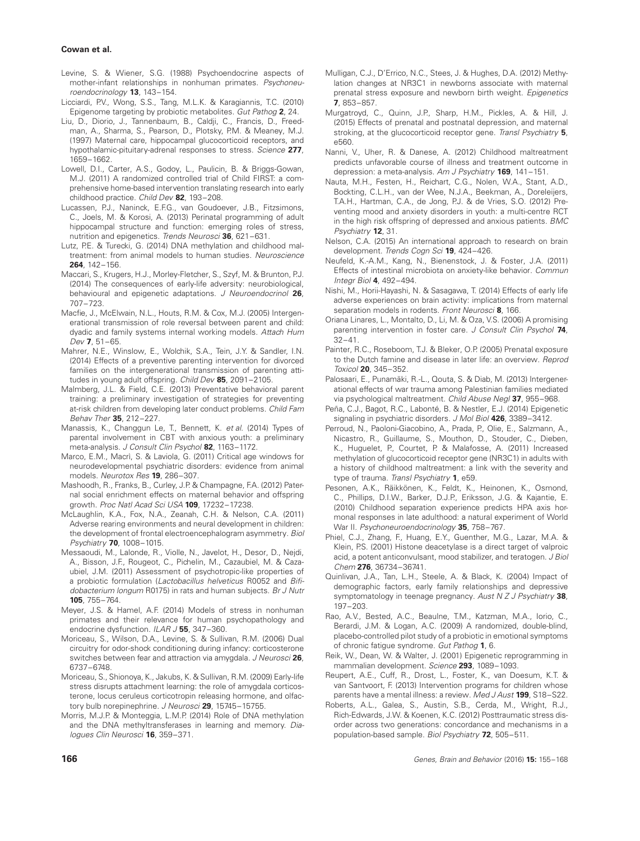- Levine, S. & Wiener, S.G. (1988) Psychoendocrine aspects of mother-infant relationships in nonhuman primates. Psychoneuroendocrinology **13**, 143–154.
- Licciardi, P.V., Wong, S.S., Tang, M.L.K. & Karagiannis, T.C. (2010) Epigenome targeting by probiotic metabolites. Gut Pathog **2**, 24.
- Liu, D., Diorio, J., Tannenbaum, B., Caldji, C., Francis, D., Freedman, A., Sharma, S., Pearson, D., Plotsky, P.M. & Meaney, M.J. (1997) Maternal care, hippocampal glucocorticoid receptors, and hypothalamic-pituitary-adrenal responses to stress. Science **277**, 1659–1662.
- Lowell, D.I., Carter, A.S., Godoy, L., Paulicin, B. & Briggs-Gowan, M.J. (2011) A randomized controlled trial of Child FIRST: a comprehensive home-based intervention translating research into early childhood practice. Child Dev **82**, 193–208.
- Lucassen, P.J., Naninck, E.F.G., van Goudoever, J.B., Fitzsimons, C., Joels, M. & Korosi, A. (2013) Perinatal programming of adult hippocampal structure and function: emerging roles of stress, nutrition and epigenetics. Trends Neurosci **36**, 621–631.
- Lutz, P.E. & Turecki, G. (2014) DNA methylation and childhood maltreatment: from animal models to human studies. Neuroscience **264**, 142–156.
- Maccari, S., Krugers, H.J., Morley-Fletcher, S., Szyf, M. & Brunton, P.J. (2014) The consequences of early-life adversity: neurobiological, behavioural and epigenetic adaptations. J Neuroendocrinol **26**, 707–723.
- Macfie, J., McElwain, N.L., Houts, R.M. & Cox, M.J. (2005) Intergenerational transmission of role reversal between parent and child: dyadic and family systems internal working models. Attach Hum Dev **7**, 51–65.
- Mahrer, N.E., Winslow, E., Wolchik, S.A., Tein, J.Y. & Sandler, I.N. (2014) Effects of a preventive parenting intervention for divorced families on the intergenerational transmission of parenting attitudes in young adult offspring. Child Dev **85**, 2091–2105.
- Malmberg, J.L. & Field, C.E. (2013) Preventative behavioral parent training: a preliminary investigation of strategies for preventing at-risk children from developing later conduct problems. Child Fam Behav Ther **35**, 212–227.
- Manassis, K., Changgun Le, T., Bennett, K. et al. (2014) Types of parental involvement in CBT with anxious youth: a preliminary meta-analysis. J Consult Clin Psychol **82**, 1163–1172.
- Marco, E.M., Macrì, S. & Laviola, G. (2011) Critical age windows for neurodevelopmental psychiatric disorders: evidence from animal models. Neurotox Res **19**, 286–307.
- Mashoodh, R., Franks, B., Curley, J.P. & Champagne, F.A. (2012) Paternal social enrichment effects on maternal behavior and offspring growth. Proc Natl Acad Sci USA **109**, 17232–17238.
- McLaughlin, K.A., Fox, N.A., Zeanah, C.H. & Nelson, C.A. (2011) Adverse rearing environments and neural development in children: the development of frontal electroencephalogram asymmetry. Biol Psychiatry **70**, 1008–1015.
- Messaoudi, M., Lalonde, R., Violle, N., Javelot, H., Desor, D., Nejdi, A., Bisson, J.F., Rougeot, C., Pichelin, M., Cazaubiel, M. & Cazaubiel, J.M. (2011) Assessment of psychotropic-like properties of a probiotic formulation (Lactobacillus helveticus R0052 and Bifidobacterium longum R0175) in rats and human subjects. Br J Nutr **105**, 755–764.
- Meyer, J.S. & Hamel, A.F. (2014) Models of stress in nonhuman primates and their relevance for human psychopathology and endocrine dysfunction. ILAR J **55**, 347–360.
- Moriceau, S., Wilson, D.A., Levine, S. & Sullivan, R.M. (2006) Dual circuitry for odor-shock conditioning during infancy: corticosterone switches between fear and attraction via amygdala. J Neurosci **26**, 6737–6748.
- Moriceau, S., Shionoya, K., Jakubs, K. & Sullivan, R.M. (2009) Early-life stress disrupts attachment learning: the role of amygdala corticosterone, locus ceruleus corticotropin releasing hormone, and olfactory bulb norepinephrine. J Neurosci **29**, 15745–15755.
- Morris, M.J.P. & Monteggia, L.M.P. (2014) Role of DNA methylation and the DNA methyltransferases in learning and memory. Dialogues Clin Neurosci **16**, 359–371.
- Mulligan, C.J., D'Errico, N.C., Stees, J. & Hughes, D.A. (2012) Methylation changes at NR3C1 in newborns associate with maternal prenatal stress exposure and newborn birth weight. Epigenetics **7**, 853–857.
- Murgatroyd, C., Quinn, J.P., Sharp, H.M., Pickles, A. & Hill, J. (2015) Effects of prenatal and postnatal depression, and maternal stroking, at the glucocorticoid receptor gene. Transl Psychiatry **5**, e560.
- Nanni, V., Uher, R. & Danese, A. (2012) Childhood maltreatment predicts unfavorable course of illness and treatment outcome in depression: a meta-analysis. Am J Psychiatry **169**, 141–151.
- Nauta, M.H., Festen, H., Reichart, C.G., Nolen, W.A., Stant, A.D., Bockting, C.L.H., van der Wee, N.J.A., Beekman, A., Doreleijers, T.A.H., Hartman, C.A., de Jong, P.J. & de Vries, S.O. (2012) Preventing mood and anxiety disorders in youth: a multi-centre RCT in the high risk offspring of depressed and anxious patients. BMC Psychiatry **12**, 31.
- Nelson, C.A. (2015) An international approach to research on brain development. Trends Cogn Sci **19**, 424–426.
- Neufeld, K.-A.M., Kang, N., Bienenstock, J. & Foster, J.A. (2011) Effects of intestinal microbiota on anxiety-like behavior. Commun Integr Biol **4**, 492–494.
- Nishi, M., Horii-Hayashi, N. & Sasagawa, T. (2014) Effects of early life adverse experiences on brain activity: implications from maternal separation models in rodents. Front Neurosci **8**, 166.
- Oriana Linares, L., Montalto, D., Li, M. & Oza, V.S. (2006) A promising parenting intervention in foster care. J Consult Clin Psychol **74**,  $32 - 41$
- Painter, R.C., Roseboom, T.J. & Bleker, O.P. (2005) Prenatal exposure to the Dutch famine and disease in later life: an overview. Reprod Toxicol **20**, 345–352.
- Palosaari, E., Punamäki, R.-L., Qouta, S. & Diab, M. (2013) Intergenerational effects of war trauma among Palestinian families mediated via psychological maltreatment. Child Abuse Negl **37**, 955–968.
- Peña, C.J., Bagot, R.C., Labonté, B. & Nestler, E.J. (2014) Epigenetic signaling in psychiatric disorders. J Mol Biol **426**, 3389–3412.
- Perroud, N., Paoloni-Giacobino, A., Prada, P., Olie, E., Salzmann, A., Nicastro, R., Guillaume, S., Mouthon, D., Stouder, C., Dieben, K., Huguelet, P., Courtet, P. & Malafosse, A. (2011) Increased methylation of glucocorticoid receptor gene (NR3C1) in adults with a history of childhood maltreatment: a link with the severity and type of trauma. Transl Psychiatry **1**, e59.
- Pesonen, A.K., Räikkönen, K., Feldt, K., Heinonen, K., Osmond, C., Phillips, D.I.W., Barker, D.J.P., Eriksson, J.G. & Kajantie, E. (2010) Childhood separation experience predicts HPA axis hormonal responses in late adulthood: a natural experiment of World War II. Psychoneuroendocrinology **35**, 758–767.
- Phiel, C.J., Zhang, F., Huang, E.Y., Guenther, M.G., Lazar, M.A. & Klein, P.S. (2001) Histone deacetylase is a direct target of valproic acid, a potent anticonvulsant, mood stabilizer, and teratogen. J Biol Chem **276**, 36734–36741.
- Quinlivan, J.A., Tan, L.H., Steele, A. & Black, K. (2004) Impact of demographic factors, early family relationships and depressive symptomatology in teenage pregnancy. Aust N Z J Psychiatry **38**, 197–203.
- Rao, A.V., Bested, A.C., Beaulne, T.M., Katzman, M.A., Iorio, C., Berardi, J.M. & Logan, A.C. (2009) A randomized, double-blind, placebo-controlled pilot study of a probiotic in emotional symptoms of chronic fatigue syndrome. Gut Pathog **1**, 6.
- Reik, W., Dean, W. & Walter, J. (2001) Epigenetic reprogramming in mammalian development. Science **293**, 1089–1093.
- Reupert, A.E., Cuff, R., Drost, L., Foster, K., van Doesum, K.T. & van Santvoort, F. (2013) Intervention programs for children whose parents have a mental illness: a review. Med J Aust **199**, S18–S22.
- Roberts, A.L., Galea, S., Austin, S.B., Cerda, M., Wright, R.J., Rich-Edwards, J.W. & Koenen, K.C. (2012) Posttraumatic stress disorder across two generations: concordance and mechanisms in a population-based sample. Biol Psychiatry **72**, 505–511.

**166** Genes, Brain and Behavior (2016) **15:** 155–168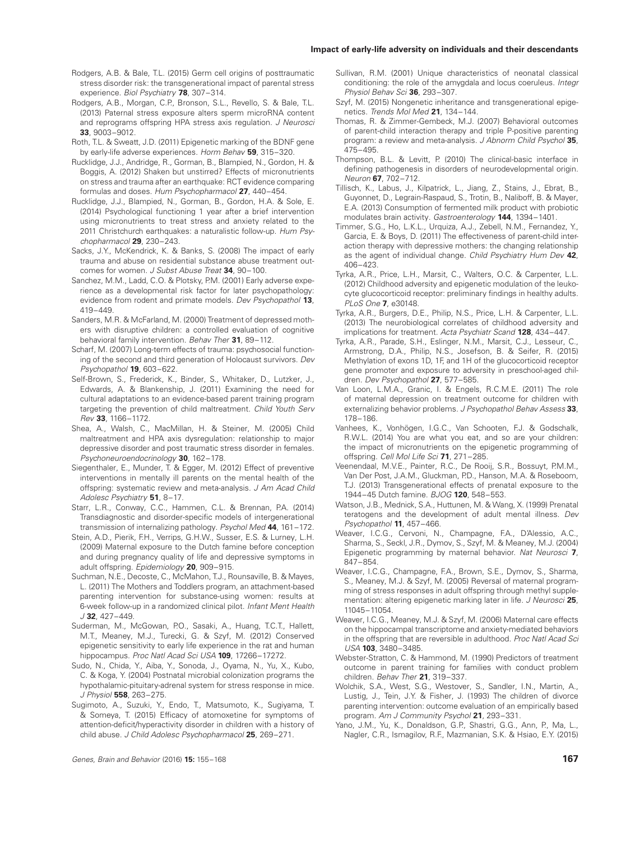- Rodgers, A.B. & Bale, T.L. (2015) Germ cell origins of posttraumatic stress disorder risk: the transgenerational impact of parental stress experience. Biol Psychiatry **78**, 307–314.
- Rodgers, A.B., Morgan, C.P., Bronson, S.L., Revello, S. & Bale, T.L. (2013) Paternal stress exposure alters sperm microRNA content and reprograms offspring HPA stress axis regulation. J Neurosci **33**, 9003–9012.
- Roth, T.L. & Sweatt, J.D. (2011) Epigenetic marking of the BDNF gene by early-life adverse experiences. Horm Behav **59**, 315–320.
- Rucklidge, J.J., Andridge, R., Gorman, B., Blampied, N., Gordon, H. & Boggis, A. (2012) Shaken but unstirred? Effects of micronutrients on stress and trauma after an earthquake: RCT evidence comparing formulas and doses. Hum Psychopharmacol **27**, 440–454.
- Rucklidge, J.J., Blampied, N., Gorman, B., Gordon, H.A. & Sole, E. (2014) Psychological functioning 1 year after a brief intervention using micronutrients to treat stress and anxiety related to the 2011 Christchurch earthquakes: a naturalistic follow-up. Hum Psychopharmacol **29**, 230–243.
- Sacks, J.Y., McKendrick, K. & Banks, S. (2008) The impact of early trauma and abuse on residential substance abuse treatment outcomes for women. J Subst Abuse Treat **34**, 90–100.
- Sanchez, M.M., Ladd, C.O. & Plotsky, P.M. (2001) Early adverse experience as a developmental risk factor for later psychopathology: evidence from rodent and primate models. Dev Psychopathol **13**, 419–449.
- Sanders, M.R. & McFarland, M. (2000) Treatment of depressed mothers with disruptive children: a controlled evaluation of cognitive behavioral family intervention. Behav Ther **31**, 89–112.
- Scharf, M. (2007) Long-term effects of trauma: psychosocial functioning of the second and third generation of Holocaust survivors. Dev Psychopathol **19**, 603–622.
- Self-Brown, S., Frederick, K., Binder, S., Whitaker, D., Lutzker, J., Edwards, A. & Blankenship, J. (2011) Examining the need for cultural adaptations to an evidence-based parent training program targeting the prevention of child maltreatment. Child Youth Serv Rev **33**, 1166–1172.
- Shea, A., Walsh, C., MacMillan, H. & Steiner, M. (2005) Child maltreatment and HPA axis dysregulation: relationship to major depressive disorder and post traumatic stress disorder in females. Psychoneuroendocrinology **30**, 162–178.
- Siegenthaler, E., Munder, T. & Egger, M. (2012) Effect of preventive interventions in mentally ill parents on the mental health of the offspring: systematic review and meta-analysis. J Am Acad Child Adolesc Psychiatry **51**, 8–17.
- Starr, L.R., Conway, C.C., Hammen, C.L. & Brennan, P.A. (2014) Transdiagnostic and disorder-specific models of intergenerational transmission of internalizing pathology. Psychol Med **44**, 161–172.
- Stein, A.D., Pierik, F.H., Verrips, G.H.W., Susser, E.S. & Lurney, L.H. (2009) Maternal exposure to the Dutch famine before conception and during pregnancy quality of life and depressive symptoms in adult offspring. Epidemiology **20**, 909–915.
- Suchman, N.E., Decoste, C., McMahon, T.J., Rounsaville, B. & Mayes, L. (2011) The Mothers and Toddlers program, an attachment-based parenting intervention for substance-using women: results at 6-week follow-up in a randomized clinical pilot. Infant Ment Health J **32**, 427–449.
- Suderman, M., McGowan, P.O., Sasaki, A., Huang, T.C.T., Hallett, M.T., Meaney, M.J., Turecki, G. & Szyf, M. (2012) Conserved epigenetic sensitivity to early life experience in the rat and human hippocampus. Proc Natl Acad Sci USA **109**, 17266–17272.
- Sudo, N., Chida, Y., Aiba, Y., Sonoda, J., Oyama, N., Yu, X., Kubo, C. & Koga, Y. (2004) Postnatal microbial colonization programs the hypothalamic-pituitary-adrenal system for stress response in mice. J Physiol **558**, 263–275.
- Sugimoto, A., Suzuki, Y., Endo, T., Matsumoto, K., Sugiyama, T. & Someya, T. (2015) Efficacy of atomoxetine for symptoms of attention-deficit/hyperactivity disorder in children with a history of child abuse. J Child Adolesc Psychopharmacol **25**, 269–271.
- Sullivan, R.M. (2001) Unique characteristics of neonatal classical conditioning: the role of the amygdala and locus coeruleus. Integr Physiol Behav Sci **36**, 293–307.
- Szyf, M. (2015) Nongenetic inheritance and transgenerational epigenetics. Trends Mol Med **21**, 134–144.
- Thomas, R. & Zimmer-Gembeck, M.J. (2007) Behavioral outcomes of parent-child interaction therapy and triple P-positive parenting program: a review and meta-analysis. J Abnorm Child Psychol **35**, 475–495.
- Thompson, B.L. & Levitt, P. (2010) The clinical-basic interface in defining pathogenesis in disorders of neurodevelopmental origin. Neuron **67**, 702–712.
- Tillisch, K., Labus, J., Kilpatrick, L., Jiang, Z., Stains, J., Ebrat, B., Guyonnet, D., Legrain-Raspaud, S., Trotin, B., Naliboff, B. & Mayer, E.A. (2013) Consumption of fermented milk product with probiotic modulates brain activity. Gastroenterology **144**, 1394–1401.
- Timmer, S.G., Ho, L.K.L., Urquiza, A.J., Zebell, N.M., Fernandez, Y., Garcia, E. & Boys, D. (2011) The effectiveness of parent-child interaction therapy with depressive mothers: the changing relationship as the agent of individual change. Child Psychiatry Hum Dev **42**, 406–423.
- Tyrka, A.R., Price, L.H., Marsit, C., Walters, O.C. & Carpenter, L.L. (2012) Childhood adversity and epigenetic modulation of the leukocyte glucocorticoid receptor: preliminary findings in healthy adults. PLoS One **7**, e30148.
- Tyrka, A.R., Burgers, D.E., Philip, N.S., Price, L.H. & Carpenter, L.L. (2013) The neurobiological correlates of childhood adversity and implications for treatment. Acta Psychiatr Scand **128**, 434–447.
- Tyrka, A.R., Parade, S.H., Eslinger, N.M., Marsit, C.J., Lesseur, C., Armstrong, D.A., Philip, N.S., Josefson, B. & Seifer, R. (2015) Methylation of exons 1D, 1F, and 1H of the glucocorticoid receptor gene promoter and exposure to adversity in preschool-aged children. Dev Psychopathol **27**, 577–585.
- Van Loon, L.M.A., Granic, I. & Engels, R.C.M.E. (2011) The role of maternal depression on treatment outcome for children with externalizing behavior problems. J Psychopathol Behav Assess **33**, 178–186.
- Vanhees, K., Vonhögen, I.G.C., Van Schooten, F.J. & Godschalk, R.W.L. (2014) You are what you eat, and so are your children: the impact of micronutrients on the epigenetic programming of offspring. Cell Mol Life Sci **71**, 271–285.
- Veenendaal, M.V.E., Painter, R.C., De Rooij, S.R., Bossuyt, P.M.M., Van Der Post, J.A.M., Gluckman, P.D., Hanson, M.A. & Roseboom, T.J. (2013) Transgenerational effects of prenatal exposure to the 1944–45 Dutch famine. BJOG **120**, 548–553.
- Watson, J.B., Mednick, S.A., Huttunen, M. & Wang, X. (1999) Prenatal teratogens and the development of adult mental illness. Dev Psychopathol **11**, 457–466.
- Weaver, I.C.G., Cervoni, N., Champagne, F.A., D'Alessio, A.C., Sharma, S., Seckl, J.R., Dymov, S., Szyf, M. & Meaney, M.J. (2004) Epigenetic programming by maternal behavior. Nat Neurosci **7**, 847–854.
- Weaver, I.C.G., Champagne, F.A., Brown, S.E., Dymov, S., Sharma, S., Meaney, M.J. & Szyf, M. (2005) Reversal of maternal programming of stress responses in adult offspring through methyl supplementation: altering epigenetic marking later in life. J Neurosci **25**, 11045–11054.
- Weaver, I.C.G., Meaney, M.J. & Szyf, M. (2006) Maternal care effects on the hippocampal transcriptome and anxiety-mediated behaviors in the offspring that are reversible in adulthood. Proc Natl Acad Sci USA **103**, 3480–3485.
- Webster-Stratton, C. & Hammond, M. (1990) Predictors of treatment outcome in parent training for families with conduct problem children. Behav Ther **21**, 319–337.
- Wolchik, S.A., West, S.G., Westover, S., Sandler, I.N., Martin, A., Lustig, J., Tein, J.Y. & Fisher, J. (1993) The children of divorce parenting intervention: outcome evaluation of an empirically based program. Am J Community Psychol **21**, 293–331.
- Yano, J.M., Yu, K., Donaldson, G.P., Shastri, G.G., Ann, P., Ma, L., Nagler, C.R., Ismagilov, R.F., Mazmanian, S.K. & Hsiao, E.Y. (2015)

Genes, Brain and Behavior (2016) **15:** 155–168 **167**